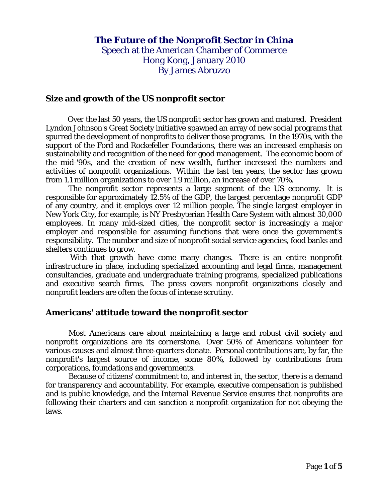# **The Future of the Nonprofit Sector in China** Speech at the American Chamber of Commerce Hong Kong, January 2010 By James Abruzzo

**Size and growth of the US nonprofit sector**

 Over the last 50 years, the US nonprofit sector has grown and matured. President Lyndon Johnson's Great Society initiative spawned an array of new social programs that spurred the development of nonprofits to deliver those programs. In the 1970s, with the support of the Ford and Rockefeller Foundations, there was an increased emphasis on sustainability and recognition of the need for good management. The economic boom of the mid-'90s, and the creation of new wealth, further increased the numbers and activities of nonprofit organizations. Within the last ten years, the sector has grown from 1.1 million organizations to over 1.9 million, an increase of over 70%.

The nonprofit sector represents a large segment of the US economy. It is responsible for approximately 12.5% of the GDP, the largest percentage nonprofit GDP of any country, and it employs over 12 million people. The single largest employer in New York City, for example, is NY Presbyterian Health Care System with almost 30,000 employees. In many mid-sized cities, the nonprofit sector is increasingly a major employer and responsible for assuming functions that were once the government's responsibility. The number and size of nonprofit social service agencies, food banks and shelters continues to grow.

 With that growth have come many changes. There is an entire nonprofit infrastructure in place, including specialized accounting and legal firms, management consultancies, graduate and undergraduate training programs, specialized publications and executive search firms. The press covers nonprofit organizations closely and nonprofit leaders are often the focus of intense scrutiny.

#### **Americans' attitude toward the nonprofit sector**

Most Americans care about maintaining a large and robust civil society and nonprofit organizations are its cornerstone. Over 50% of Americans volunteer for various causes and almost three-quarters donate. Personal contributions are, by far, the nonprofit's largest source of income, some 80%, followed by contributions from corporations, foundations and governments.

Because of citizens' commitment to, and interest in, the sector, there is a demand for transparency and accountability. For example, executive compensation is published and is public knowledge, and the Internal Revenue Service ensures that nonprofits are following their charters and can sanction a nonprofit organization for not obeying the laws.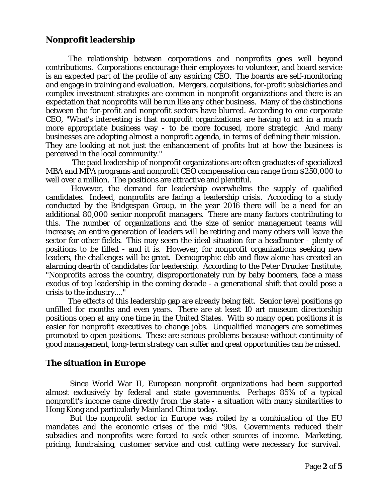# **Nonprofit leadership**

The relationship between corporations and nonprofits goes well beyond contributions. Corporations encourage their employees to volunteer, and board service is an expected part of the profile of any aspiring CEO. The boards are self-monitoring and engage in training and evaluation. Mergers, acquisitions, for-profit subsidiaries and complex investment strategies are common in nonprofit organizations and there is an expectation that nonprofits will be run like any other business. Many of the distinctions between the for-profit and nonprofit sectors have blurred. According to one corporate CEO, "What's interesting is that nonprofit organizations are having to act in a much more appropriate business way - to be more focused, more strategic. And many businesses are adopting almost a nonprofit agenda, in terms of defining their mission. They are looking at not just the enhancement of profits but at how the business is perceived in the local community."

The paid leadership of nonprofit organizations are often graduates of specialized MBA and MPA programs and nonprofit CEO compensation can range from \$250,000 to well over a million. The positions are attractive and plentiful.

 However, the demand for leadership overwhelms the supply of qualified candidates. Indeed, nonprofits are facing a leadership crisis. According to a study conducted by the Bridgespan Group, in the year 2016 there will be a need for an additional 80,000 senior nonprofit managers. There are many factors contributing to this. The number of organizations and the size of senior management teams will increase; an entire generation of leaders will be retiring and many others will leave the sector for other fields. This may seem the ideal situation for a headhunter - plenty of positions to be filled - and it is. However, for nonprofit organizations seeking new leaders, the challenges will be great. Demographic ebb and flow alone has created an alarming dearth of candidates for leadership. According to the Peter Drucker Institute, "Nonprofits across the country, disproportionately run by baby boomers, face a mass exodus of top leadership in the coming decade - a generational shift that could pose a crisis to the industry...."

The effects of this leadership gap are already being felt. Senior level positions go unfilled for months and even years. There are at least 10 art museum directorship positions open at any one time in the United States. With so many open positions it is easier for nonprofit executives to change jobs. Unqualified managers are sometimes promoted to open positions. These are serious problems because without continuity of good management, long-term strategy can suffer and great opportunities can be missed.

# **The situation in Europe**

 Since World War II, European nonprofit organizations had been supported almost exclusively by federal and state governments. Perhaps 85% of a typical nonprofit's income came directly from the state - a situation with many similarities to Hong Kong and particularly Mainland China today.

 But the nonprofit sector in Europe was roiled by a combination of the EU mandates and the economic crises of the mid '90s. Governments reduced their subsidies and nonprofits were forced to seek other sources of income. Marketing, pricing, fundraising, customer service and cost cutting were necessary for survival.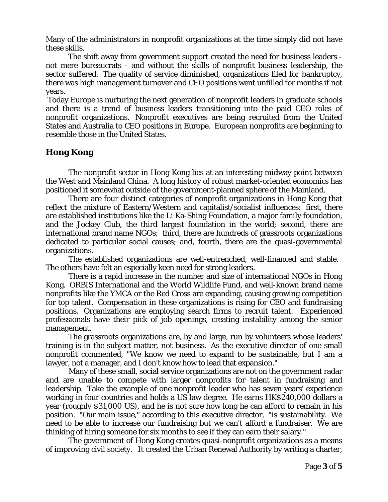Many of the administrators in nonprofit organizations at the time simply did not have these skills.

 The shift away from government support created the need for business leaders not mere bureaucrats - and without the skills of nonprofit business leadership, the sector suffered. The quality of service diminished, organizations filed for bankruptcy, there was high management turnover and CEO positions went unfilled for months if not years.

Today Europe is nurturing the next generation of nonprofit leaders in graduate schools and there is a trend of business leaders transitioning into the paid CEO roles of nonprofit organizations. Nonprofit executives are being recruited from the United States and Australia to CEO positions in Europe. European nonprofits are beginning to resemble those in the United States.

## **Hong Kong**

The nonprofit sector in Hong Kong lies at an interesting midway point between the West and Mainland China. A long history of robust market-oriented economics has positioned it somewhat outside of the government-planned sphere of the Mainland.

There are four distinct categories of nonprofit organizations in Hong Kong that reflect the mixture of Eastern/Western and capitalist/socialist influences: first, there are established institutions like the Li Ka-Shing Foundation, a major family foundation, and the Jockey Club, the third largest foundation in the world; second, there are international brand name NGOs; third, there are hundreds of grassroots organizations dedicated to particular social causes; and, fourth, there are the quasi-governmental organizations.

The established organizations are well-entrenched, well-financed and stable. The others have felt an especially keen need for strong leaders.

There is a rapid increase in the number and size of international NGOs in Hong Kong. ORBIS International and the World Wildlife Fund, and well-known brand name nonprofits like the YMCA or the Red Cross are expanding, causing growing competition for top talent. Compensation in these organizations is rising for CEO and fundraising positions. Organizations are employing search firms to recruit talent. Experienced professionals have their pick of job openings, creating instability among the senior management.

The grassroots organizations are, by and large, run by volunteers whose leaders' training is in the subject matter, not business. As the executive director of one small nonprofit commented, "We know we need to expand to be sustainable, but I am a lawyer, not a manager, and I don't know how to lead that expansion."

Many of these small, social service organizations are not on the government radar and are unable to compete with larger nonprofits for talent in fundraising and leadership. Take the example of one nonprofit leader who has seven years' experience working in four countries and holds a US law degree. He earns HK\$240,000 dollars a year (roughly \$31,000 US), and he is not sure how long he can afford to remain in his position. "Our main issue," according to this executive director, "is sustainability. We need to be able to increase our fundraising but we can't afford a fundraiser. We are thinking of hiring someone for six months to see if they can earn their salary."

The government of Hong Kong creates quasi-nonprofit organizations as a means of improving civil society. It created the Urban Renewal Authority by writing a charter,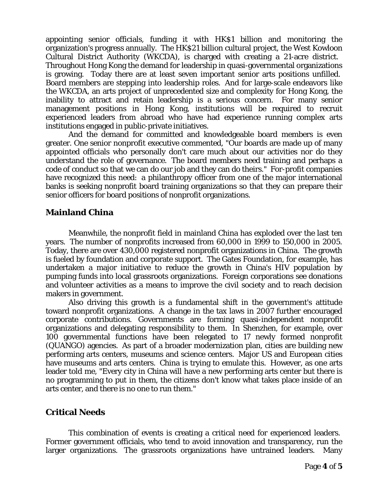appointing senior officials, funding it with HK\$1 billion and monitoring the organization's progress annually. The HK\$21 billion cultural project, the West Kowloon Cultural District Authority (WKCDA), is charged with creating a 21-acre district. Throughout Hong Kong the demand for leadership in quasi-governmental organizations is growing. Today there are at least seven important senior arts positions unfilled. Board members are stepping into leadership roles. And for large-scale endeavors like the WKCDA, an arts project of unprecedented size and complexity for Hong Kong, the inability to attract and retain leadership is a serious concern. For many senior management positions in Hong Kong, institutions will be required to recruit experienced leaders from abroad who have had experience running complex arts institutions engaged in public-private initiatives.

And the demand for committed and knowledgeable board members is even greater. One senior nonprofit executive commented, "Our boards are made up of many appointed officials who personally don't care much about our activities nor do they understand the role of governance. The board members need training and perhaps a code of conduct so that we can do our job and they can do theirs." For-profit companies have recognized this need: a philanthropy officer from one of the major international banks is seeking nonprofit board training organizations so that they can prepare their senior officers for board positions of nonprofit organizations.

## **Mainland China**

Meanwhile, the nonprofit field in mainland China has exploded over the last ten years. The number of nonprofits increased from 60,000 in 1999 to 150,000 in 2005. Today, there are over 430,000 registered nonprofit organizations in China. The growth is fueled by foundation and corporate support. The Gates Foundation, for example, has undertaken a major initiative to reduce the growth in China's HIV population by pumping funds into local grassroots organizations. Foreign corporations see donations and volunteer activities as a means to improve the civil society and to reach decision makers in government.

Also driving this growth is a fundamental shift in the government's attitude toward nonprofit organizations. A change in the tax laws in 2007 further encouraged corporate contributions. Governments are forming quasi-independent nonprofit organizations and delegating responsibility to them. In Shenzhen, for example, over 100 governmental functions have been relegated to 17 newly formed nonprofit (QUANGO) agencies. As part of a broader modernization plan, cities are building new performing arts centers, museums and science centers. Major US and European cities have museums and arts centers. China is trying to emulate this. However, as one arts leader told me, "Every city in China will have a new performing arts center but there is no programming to put in them, the citizens don't know what takes place inside of an arts center, and there is no one to run them."

# **Critical Needs**

This combination of events is creating a critical need for experienced leaders. Former government officials, who tend to avoid innovation and transparency, run the larger organizations. The grassroots organizations have untrained leaders. Many